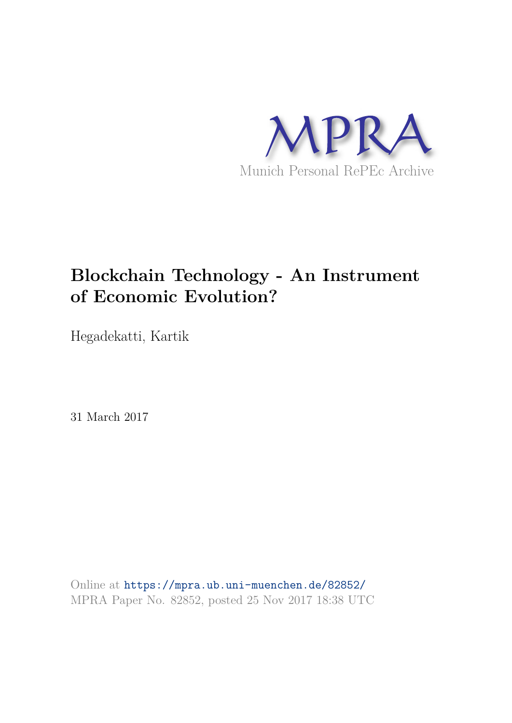

## **Blockchain Technology - An Instrument of Economic Evolution?**

Hegadekatti, Kartik

31 March 2017

Online at https://mpra.ub.uni-muenchen.de/82852/ MPRA Paper No. 82852, posted 25 Nov 2017 18:38 UTC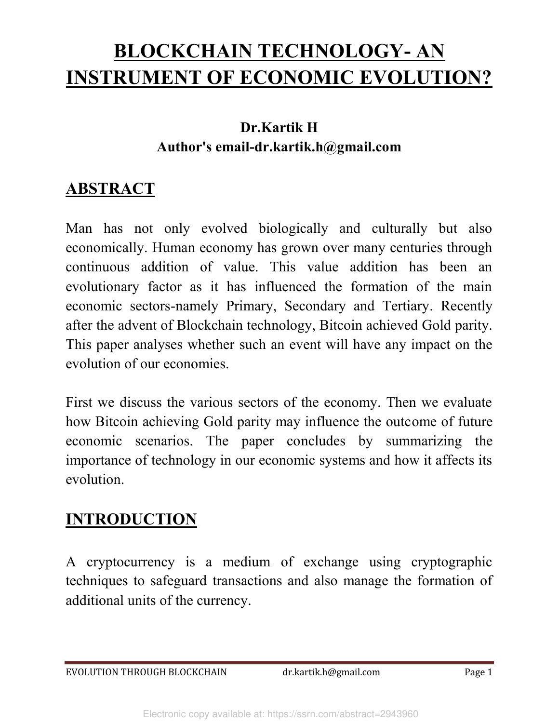# **BLOCKCHAIN TECHNOLOGY- AN INSTRUMENT OF ECONOMIC EVOLUTION?**

#### **Dr.Kartik H Author's email-dr.kartik.h@gmail.com**

### **ABSTRACT**

Man has not only evolved biologically and culturally but also economically. Human economy has grown over many centuries through continuous addition of value. This value addition has been an evolutionary factor as it has influenced the formation of the main economic sectors-namely Primary, Secondary and Tertiary. Recently after the advent of Blockchain technology, Bitcoin achieved Gold parity. This paper analyses whether such an event will have any impact on the evolution of our economies.

First we discuss the various sectors of the economy. Then we evaluate how Bitcoin achieving Gold parity may influence the outcome of future economic scenarios. The paper concludes by summarizing the importance of technology in our economic systems and how it affects its evolution.

#### **INTRODUCTION**

A cryptocurrency is a medium of exchange using cryptographic techniques to safeguard transactions and also manage the formation of additional units of the currency.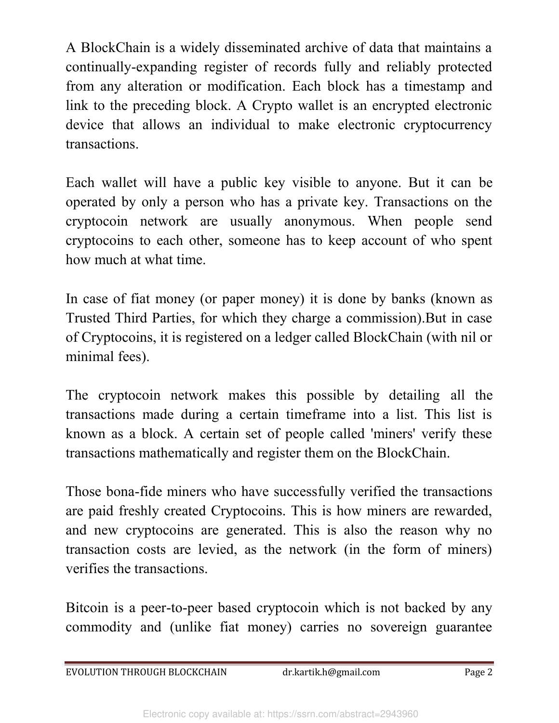A BlockChain is a widely disseminated archive of data that maintains a continually-expanding register of records fully and reliably protected from any alteration or modification. Each block has a timestamp and link to the preceding block. A Crypto wallet is an encrypted electronic device that allows an individual to make electronic cryptocurrency transactions.

Each wallet will have a public key visible to anyone. But it can be operated by only a person who has a private key. Transactions on the cryptocoin network are usually anonymous. When people send cryptocoins to each other, someone has to keep account of who spent how much at what time.

In case of fiat money (or paper money) it is done by banks (known as Trusted Third Parties, for which they charge a commission).But in case of Cryptocoins, it is registered on a ledger called BlockChain (with nil or minimal fees).

The cryptocoin network makes this possible by detailing all the transactions made during a certain timeframe into a list. This list is known as a block. A certain set of people called 'miners' verify these transactions mathematically and register them on the BlockChain.

Those bona-fide miners who have successfully verified the transactions are paid freshly created Cryptocoins. This is how miners are rewarded, and new cryptocoins are generated. This is also the reason why no transaction costs are levied, as the network (in the form of miners) verifies the transactions.

Bitcoin is a peer-to-peer based cryptocoin which is not backed by any commodity and (unlike fiat money) carries no sovereign guarantee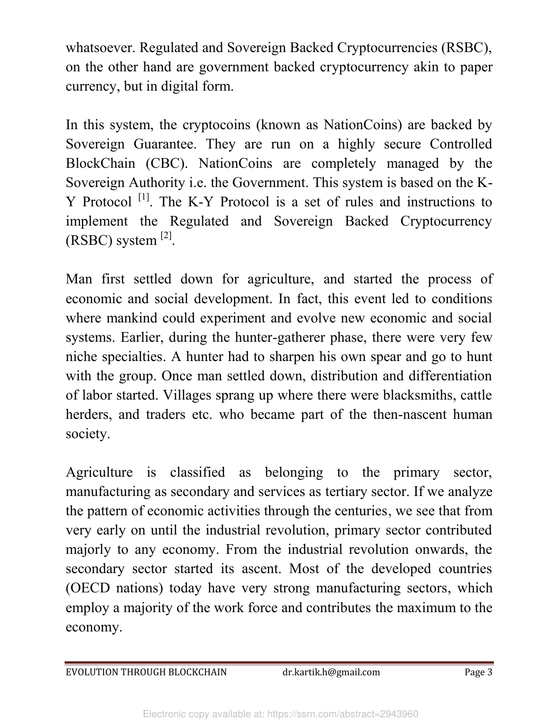whatsoever. Regulated and Sovereign Backed Cryptocurrencies (RSBC), on the other hand are government backed cryptocurrency akin to paper currency, but in digital form.

In this system, the cryptocoins (known as NationCoins) are backed by Sovereign Guarantee. They are run on a highly secure Controlled BlockChain (CBC). NationCoins are completely managed by the Sovereign Authority i.e. the Government. This system is based on the K- $Y$  Protocol  $<sup>[1]</sup>$ . The K-Y Protocol is a set of rules and instructions to</sup> implement the Regulated and Sovereign Backed Cryptocurrency  $(RSBC)$  system  $^{[2]}$ .

Man first settled down for agriculture, and started the process of economic and social development. In fact, this event led to conditions where mankind could experiment and evolve new economic and social systems. Earlier, during the hunter-gatherer phase, there were very few niche specialties. A hunter had to sharpen his own spear and go to hunt with the group. Once man settled down, distribution and differentiation of labor started. Villages sprang up where there were blacksmiths, cattle herders, and traders etc. who became part of the then-nascent human society.

Agriculture is classified as belonging to the primary sector, manufacturing as secondary and services as tertiary sector. If we analyze the pattern of economic activities through the centuries, we see that from very early on until the industrial revolution, primary sector contributed majorly to any economy. From the industrial revolution onwards, the secondary sector started its ascent. Most of the developed countries (OECD nations) today have very strong manufacturing sectors, which employ a majority of the work force and contributes the maximum to the economy.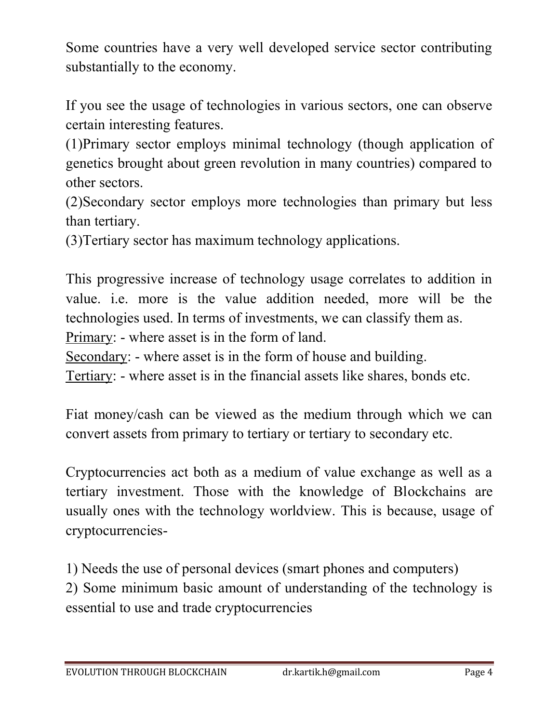Some countries have a very well developed service sector contributing substantially to the economy.

If you see the usage of technologies in various sectors, one can observe certain interesting features.

(1)Primary sector employs minimal technology (though application of genetics brought about green revolution in many countries) compared to other sectors.

(2)Secondary sector employs more technologies than primary but less than tertiary.

(3)Tertiary sector has maximum technology applications.

This progressive increase of technology usage correlates to addition in value. i.e. more is the value addition needed, more will be the technologies used. In terms of investments, we can classify them as. Primary: - where asset is in the form of land.

Secondary: - where asset is in the form of house and building.

Tertiary: - where asset is in the financial assets like shares, bonds etc.

Fiat money/cash can be viewed as the medium through which we can convert assets from primary to tertiary or tertiary to secondary etc.

Cryptocurrencies act both as a medium of value exchange as well as a tertiary investment. Those with the knowledge of Blockchains are usually ones with the technology worldview. This is because, usage of cryptocurrencies-

1) Needs the use of personal devices (smart phones and computers) 2) Some minimum basic amount of understanding of the technology is essential to use and trade cryptocurrencies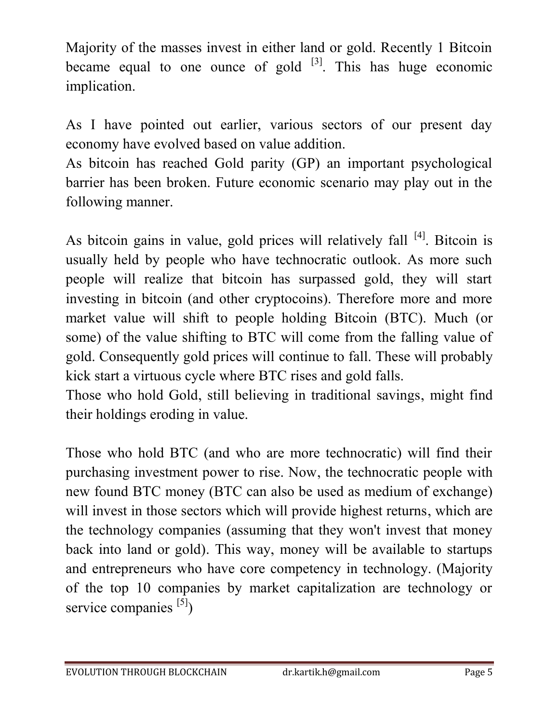Majority of the masses invest in either land or gold. Recently 1 Bitcoin became equal to one ounce of gold  $[3]$ . This has huge economic implication.

As I have pointed out earlier, various sectors of our present day economy have evolved based on value addition.

As bitcoin has reached Gold parity (GP) an important psychological barrier has been broken. Future economic scenario may play out in the following manner.

As bitcoin gains in value, gold prices will relatively fall <sup>[4]</sup>. Bitcoin is usually held by people who have technocratic outlook. As more such people will realize that bitcoin has surpassed gold, they will start investing in bitcoin (and other cryptocoins). Therefore more and more market value will shift to people holding Bitcoin (BTC). Much (or some) of the value shifting to BTC will come from the falling value of gold. Consequently gold prices will continue to fall. These will probably kick start a virtuous cycle where BTC rises and gold falls.

Those who hold Gold, still believing in traditional savings, might find their holdings eroding in value.

Those who hold BTC (and who are more technocratic) will find their purchasing investment power to rise. Now, the technocratic people with new found BTC money (BTC can also be used as medium of exchange) will invest in those sectors which will provide highest returns, which are the technology companies (assuming that they won't invest that money back into land or gold). This way, money will be available to startups and entrepreneurs who have core competency in technology. (Majority of the top 10 companies by market capitalization are technology or service companies  $[5]$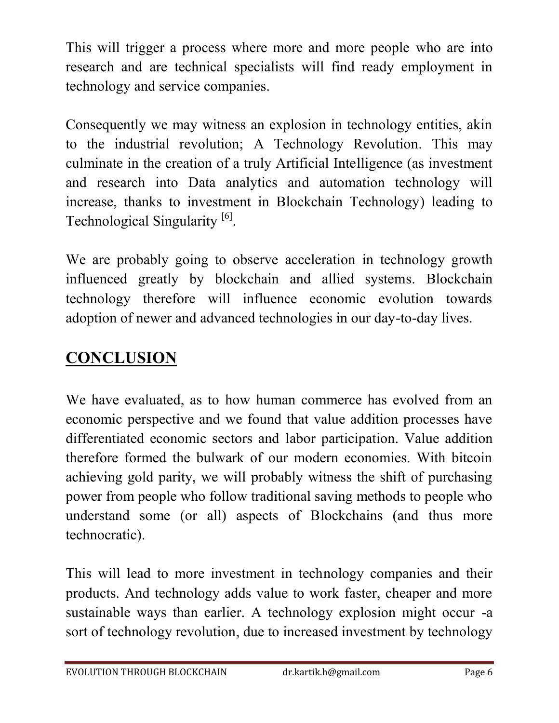This will trigger a process where more and more people who are into research and are technical specialists will find ready employment in technology and service companies.

Consequently we may witness an explosion in technology entities, akin to the industrial revolution; A Technology Revolution. This may culminate in the creation of a truly Artificial Intelligence (as investment and research into Data analytics and automation technology will increase, thanks to investment in Blockchain Technology) leading to Technological Singularity<sup>[6]</sup>.

We are probably going to observe acceleration in technology growth influenced greatly by blockchain and allied systems. Blockchain technology therefore will influence economic evolution towards adoption of newer and advanced technologies in our day-to-day lives.

## **CONCLUSION**

We have evaluated, as to how human commerce has evolved from an economic perspective and we found that value addition processes have differentiated economic sectors and labor participation. Value addition therefore formed the bulwark of our modern economies. With bitcoin achieving gold parity, we will probably witness the shift of purchasing power from people who follow traditional saving methods to people who understand some (or all) aspects of Blockchains (and thus more technocratic).

This will lead to more investment in technology companies and their products. And technology adds value to work faster, cheaper and more sustainable ways than earlier. A technology explosion might occur -a sort of technology revolution, due to increased investment by technology